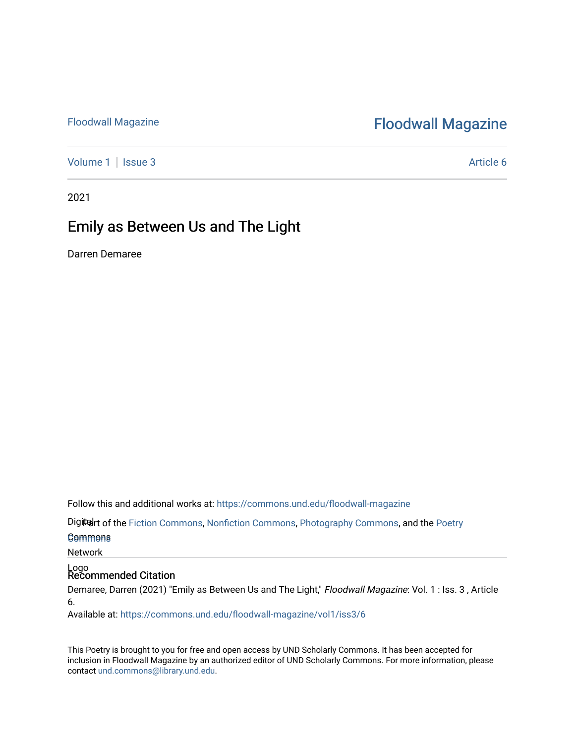## [Floodwall Magazine](https://commons.und.edu/floodwall-magazine) **Floodwall Magazine**

[Volume 1](https://commons.und.edu/floodwall-magazine/vol1) | [Issue 3](https://commons.und.edu/floodwall-magazine/vol1/iss3) Article 6

2021

## Emily as Between Us and The Light

Darren Demaree

Follow this and additional works at: [https://commons.und.edu/floodwall-magazine](https://commons.und.edu/floodwall-magazine?utm_source=commons.und.edu%2Ffloodwall-magazine%2Fvol1%2Fiss3%2F6&utm_medium=PDF&utm_campaign=PDFCoverPages)

Digiter of the [Fiction Commons,](http://network.bepress.com/hgg/discipline/1151?utm_source=commons.und.edu%2Ffloodwall-magazine%2Fvol1%2Fiss3%2F6&utm_medium=PDF&utm_campaign=PDFCoverPages) [Nonfiction Commons](http://network.bepress.com/hgg/discipline/1152?utm_source=commons.und.edu%2Ffloodwall-magazine%2Fvol1%2Fiss3%2F6&utm_medium=PDF&utm_campaign=PDFCoverPages), [Photography Commons,](http://network.bepress.com/hgg/discipline/1142?utm_source=commons.und.edu%2Ffloodwall-magazine%2Fvol1%2Fiss3%2F6&utm_medium=PDF&utm_campaign=PDFCoverPages) and the [Poetry](http://network.bepress.com/hgg/discipline/1153?utm_source=commons.und.edu%2Ffloodwall-magazine%2Fvol1%2Fiss3%2F6&utm_medium=PDF&utm_campaign=PDFCoverPages)

### Commons [Commons](http://network.bepress.com/hgg/discipline/1153?utm_source=commons.und.edu%2Ffloodwall-magazine%2Fvol1%2Fiss3%2F6&utm_medium=PDF&utm_campaign=PDFCoverPages)

Network

## Logo Recommended Citation

Demaree, Darren (2021) "Emily as Between Us and The Light," Floodwall Magazine: Vol. 1 : Iss. 3, Article 6.

Available at: [https://commons.und.edu/floodwall-magazine/vol1/iss3/6](https://commons.und.edu/floodwall-magazine/vol1/iss3/6?utm_source=commons.und.edu%2Ffloodwall-magazine%2Fvol1%2Fiss3%2F6&utm_medium=PDF&utm_campaign=PDFCoverPages) 

This Poetry is brought to you for free and open access by UND Scholarly Commons. It has been accepted for inclusion in Floodwall Magazine by an authorized editor of UND Scholarly Commons. For more information, please contact [und.commons@library.und.edu.](mailto:und.commons@library.und.edu)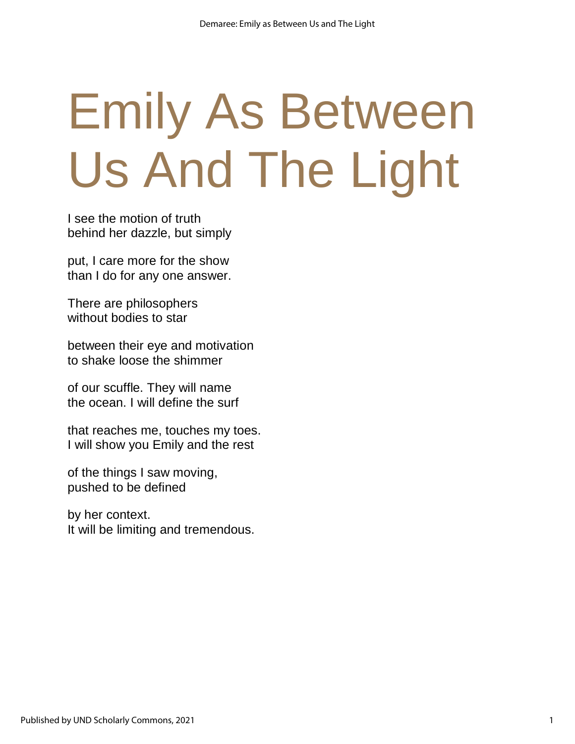# Emily As Between Us And The Light

I see the motion of truth behind her dazzle, but simply

put, I care more for the show than I do for any one answer.

There are philosophers without bodies to star

between their eye and motivation to shake loose the shimmer

of our scuffle. They will name the ocean. I will define the surf

that reaches me, touches my toes. I will show you Emily and the rest

of the things I saw moving, pushed to be defined

by her context. It will be limiting and tremendous.